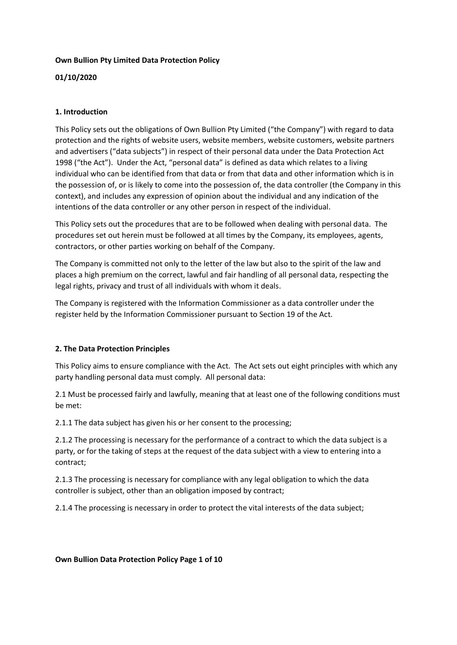## **Own Bullion Pty Limited Data Protection Policy**

## **01/10/2020**

## **1. Introduction**

This Policy sets out the obligations of Own Bullion Pty Limited ("the Company") with regard to data protection and the rights of website users, website members, website customers, website partners and advertisers ("data subjects") in respect of their personal data under the Data Protection Act 1998 ("the Act"). Under the Act, "personal data" is defined as data which relates to a living individual who can be identified from that data or from that data and other information which is in the possession of, or is likely to come into the possession of, the data controller (the Company in this context), and includes any expression of opinion about the individual and any indication of the intentions of the data controller or any other person in respect of the individual.

This Policy sets out the procedures that are to be followed when dealing with personal data. The procedures set out herein must be followed at all times by the Company, its employees, agents, contractors, or other parties working on behalf of the Company.

The Company is committed not only to the letter of the law but also to the spirit of the law and places a high premium on the correct, lawful and fair handling of all personal data, respecting the legal rights, privacy and trust of all individuals with whom it deals.

The Company is registered with the Information Commissioner as a data controller under the register held by the Information Commissioner pursuant to Section 19 of the Act.

## **2. The Data Protection Principles**

This Policy aims to ensure compliance with the Act. The Act sets out eight principles with which any party handling personal data must comply. All personal data:

2.1 Must be processed fairly and lawfully, meaning that at least one of the following conditions must be met:

2.1.1 The data subject has given his or her consent to the processing;

2.1.2 The processing is necessary for the performance of a contract to which the data subject is a party, or for the taking of steps at the request of the data subject with a view to entering into a contract;

2.1.3 The processing is necessary for compliance with any legal obligation to which the data controller is subject, other than an obligation imposed by contract;

2.1.4 The processing is necessary in order to protect the vital interests of the data subject;

## **Own Bullion Data Protection Policy Page 1 of 10**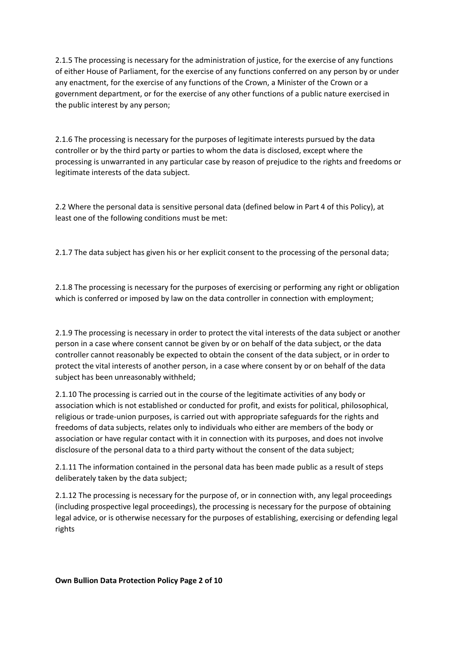2.1.5 The processing is necessary for the administration of justice, for the exercise of any functions of either House of Parliament, for the exercise of any functions conferred on any person by or under any enactment, for the exercise of any functions of the Crown, a Minister of the Crown or a government department, or for the exercise of any other functions of a public nature exercised in the public interest by any person;

2.1.6 The processing is necessary for the purposes of legitimate interests pursued by the data controller or by the third party or parties to whom the data is disclosed, except where the processing is unwarranted in any particular case by reason of prejudice to the rights and freedoms or legitimate interests of the data subject.

2.2 Where the personal data is sensitive personal data (defined below in Part 4 of this Policy), at least one of the following conditions must be met:

2.1.7 The data subject has given his or her explicit consent to the processing of the personal data;

2.1.8 The processing is necessary for the purposes of exercising or performing any right or obligation which is conferred or imposed by law on the data controller in connection with employment;

2.1.9 The processing is necessary in order to protect the vital interests of the data subject or another person in a case where consent cannot be given by or on behalf of the data subject, or the data controller cannot reasonably be expected to obtain the consent of the data subject, or in order to protect the vital interests of another person, in a case where consent by or on behalf of the data subject has been unreasonably withheld;

2.1.10 The processing is carried out in the course of the legitimate activities of any body or association which is not established or conducted for profit, and exists for political, philosophical, religious or trade-union purposes, is carried out with appropriate safeguards for the rights and freedoms of data subjects, relates only to individuals who either are members of the body or association or have regular contact with it in connection with its purposes, and does not involve disclosure of the personal data to a third party without the consent of the data subject;

2.1.11 The information contained in the personal data has been made public as a result of steps deliberately taken by the data subject;

2.1.12 The processing is necessary for the purpose of, or in connection with, any legal proceedings (including prospective legal proceedings), the processing is necessary for the purpose of obtaining legal advice, or is otherwise necessary for the purposes of establishing, exercising or defending legal rights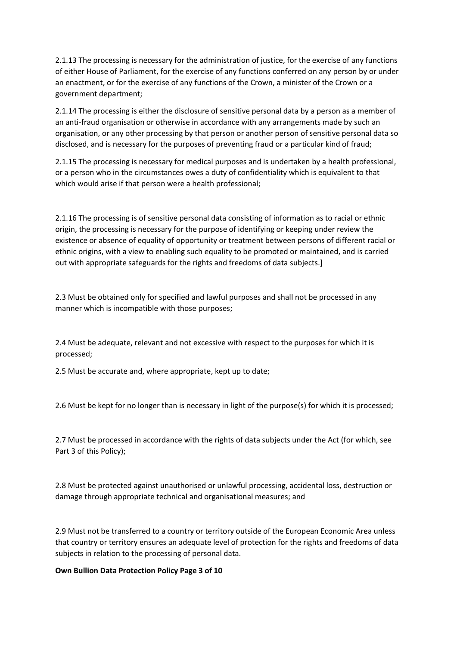2.1.13 The processing is necessary for the administration of justice, for the exercise of any functions of either House of Parliament, for the exercise of any functions conferred on any person by or under an enactment, or for the exercise of any functions of the Crown, a minister of the Crown or a government department;

2.1.14 The processing is either the disclosure of sensitive personal data by a person as a member of an anti-fraud organisation or otherwise in accordance with any arrangements made by such an organisation, or any other processing by that person or another person of sensitive personal data so disclosed, and is necessary for the purposes of preventing fraud or a particular kind of fraud;

2.1.15 The processing is necessary for medical purposes and is undertaken by a health professional, or a person who in the circumstances owes a duty of confidentiality which is equivalent to that which would arise if that person were a health professional;

2.1.16 The processing is of sensitive personal data consisting of information as to racial or ethnic origin, the processing is necessary for the purpose of identifying or keeping under review the existence or absence of equality of opportunity or treatment between persons of different racial or ethnic origins, with a view to enabling such equality to be promoted or maintained, and is carried out with appropriate safeguards for the rights and freedoms of data subjects.]

2.3 Must be obtained only for specified and lawful purposes and shall not be processed in any manner which is incompatible with those purposes;

2.4 Must be adequate, relevant and not excessive with respect to the purposes for which it is processed;

2.5 Must be accurate and, where appropriate, kept up to date;

2.6 Must be kept for no longer than is necessary in light of the purpose(s) for which it is processed;

2.7 Must be processed in accordance with the rights of data subjects under the Act (for which, see Part 3 of this Policy);

2.8 Must be protected against unauthorised or unlawful processing, accidental loss, destruction or damage through appropriate technical and organisational measures; and

2.9 Must not be transferred to a country or territory outside of the European Economic Area unless that country or territory ensures an adequate level of protection for the rights and freedoms of data subjects in relation to the processing of personal data.

## **Own Bullion Data Protection Policy Page 3 of 10**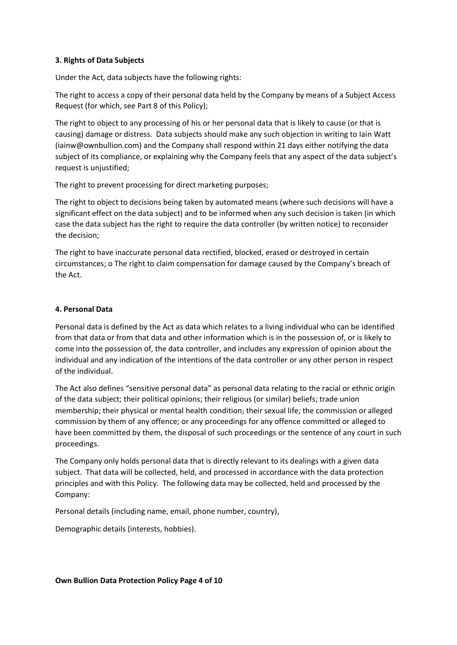## **3. Rights of Data Subjects**

Under the Act, data subjects have the following rights:

The right to access a copy of their personal data held by the Company by means of a Subject Access Request (for which, see Part 8 of this Policy);

The right to object to any processing of his or her personal data that is likely to cause (or that is causing) damage or distress. Data subjects should make any such objection in writing to Iain Watt (iainw@ownbullion.com) and the Company shall respond within 21 days either notifying the data subject of its compliance, or explaining why the Company feels that any aspect of the data subject's request is unjustified;

The right to prevent processing for direct marketing purposes;

The right to object to decisions being taken by automated means (where such decisions will have a significant effect on the data subject) and to be informed when any such decision is taken (in which case the data subject has the right to require the data controller (by written notice) to reconsider the decision;

The right to have inaccurate personal data rectified, blocked, erased or destroyed in certain circumstances; o The right to claim compensation for damage caused by the Company's breach of the Act.

## **4. Personal Data**

Personal data is defined by the Act as data which relates to a living individual who can be identified from that data or from that data and other information which is in the possession of, or is likely to come into the possession of, the data controller, and includes any expression of opinion about the individual and any indication of the intentions of the data controller or any other person in respect of the individual.

The Act also defines "sensitive personal data" as personal data relating to the racial or ethnic origin of the data subject; their political opinions; their religious (or similar) beliefs; trade union membership; their physical or mental health condition; their sexual life; the commission or alleged commission by them of any offence; or any proceedings for any offence committed or alleged to have been committed by them, the disposal of such proceedings or the sentence of any court in such proceedings.

The Company only holds personal data that is directly relevant to its dealings with a given data subject. That data will be collected, held, and processed in accordance with the data protection principles and with this Policy. The following data may be collected, held and processed by the Company:

Personal details (including name, email, phone number, country),

Demographic details (interests, hobbies).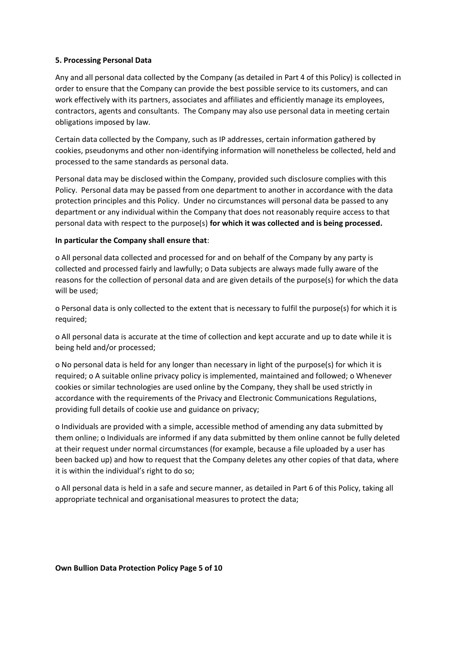## **5. Processing Personal Data**

Any and all personal data collected by the Company (as detailed in Part 4 of this Policy) is collected in order to ensure that the Company can provide the best possible service to its customers, and can work effectively with its partners, associates and affiliates and efficiently manage its employees, contractors, agents and consultants. The Company may also use personal data in meeting certain obligations imposed by law.

Certain data collected by the Company, such as IP addresses, certain information gathered by cookies, pseudonyms and other non-identifying information will nonetheless be collected, held and processed to the same standards as personal data.

Personal data may be disclosed within the Company, provided such disclosure complies with this Policy. Personal data may be passed from one department to another in accordance with the data protection principles and this Policy. Under no circumstances will personal data be passed to any department or any individual within the Company that does not reasonably require access to that personal data with respect to the purpose(s) **for which it was collected and is being processed.** 

## **In particular the Company shall ensure that**:

o All personal data collected and processed for and on behalf of the Company by any party is collected and processed fairly and lawfully; o Data subjects are always made fully aware of the reasons for the collection of personal data and are given details of the purpose(s) for which the data will be used;

o Personal data is only collected to the extent that is necessary to fulfil the purpose(s) for which it is required;

o All personal data is accurate at the time of collection and kept accurate and up to date while it is being held and/or processed;

o No personal data is held for any longer than necessary in light of the purpose(s) for which it is required; o A suitable online privacy policy is implemented, maintained and followed; o Whenever cookies or similar technologies are used online by the Company, they shall be used strictly in accordance with the requirements of the Privacy and Electronic Communications Regulations, providing full details of cookie use and guidance on privacy;

o Individuals are provided with a simple, accessible method of amending any data submitted by them online; o Individuals are informed if any data submitted by them online cannot be fully deleted at their request under normal circumstances (for example, because a file uploaded by a user has been backed up) and how to request that the Company deletes any other copies of that data, where it is within the individual's right to do so;

o All personal data is held in a safe and secure manner, as detailed in Part 6 of this Policy, taking all appropriate technical and organisational measures to protect the data;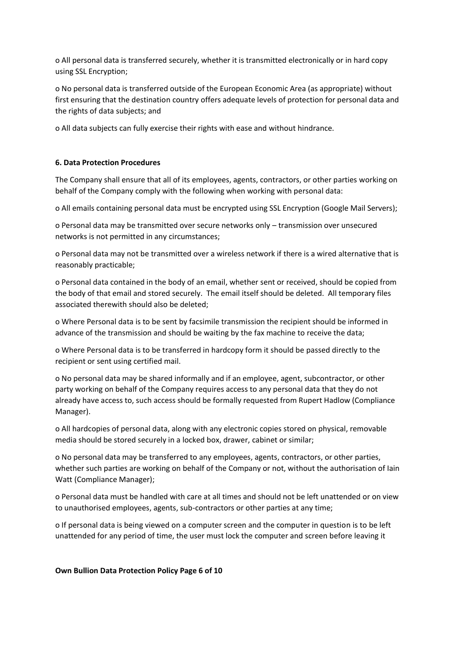o All personal data is transferred securely, whether it is transmitted electronically or in hard copy using SSL Encryption;

o No personal data is transferred outside of the European Economic Area (as appropriate) without first ensuring that the destination country offers adequate levels of protection for personal data and the rights of data subjects; and

o All data subjects can fully exercise their rights with ease and without hindrance.

## **6. Data Protection Procedures**

The Company shall ensure that all of its employees, agents, contractors, or other parties working on behalf of the Company comply with the following when working with personal data:

o All emails containing personal data must be encrypted using SSL Encryption (Google Mail Servers);

o Personal data may be transmitted over secure networks only – transmission over unsecured networks is not permitted in any circumstances;

o Personal data may not be transmitted over a wireless network if there is a wired alternative that is reasonably practicable;

o Personal data contained in the body of an email, whether sent or received, should be copied from the body of that email and stored securely. The email itself should be deleted. All temporary files associated therewith should also be deleted;

o Where Personal data is to be sent by facsimile transmission the recipient should be informed in advance of the transmission and should be waiting by the fax machine to receive the data;

o Where Personal data is to be transferred in hardcopy form it should be passed directly to the recipient or sent using certified mail.

o No personal data may be shared informally and if an employee, agent, subcontractor, or other party working on behalf of the Company requires access to any personal data that they do not already have access to, such access should be formally requested from Rupert Hadlow (Compliance Manager).

o All hardcopies of personal data, along with any electronic copies stored on physical, removable media should be stored securely in a locked box, drawer, cabinet or similar;

o No personal data may be transferred to any employees, agents, contractors, or other parties, whether such parties are working on behalf of the Company or not, without the authorisation of Iain Watt (Compliance Manager);

o Personal data must be handled with care at all times and should not be left unattended or on view to unauthorised employees, agents, sub-contractors or other parties at any time;

o If personal data is being viewed on a computer screen and the computer in question is to be left unattended for any period of time, the user must lock the computer and screen before leaving it

#### **Own Bullion Data Protection Policy Page 6 of 10**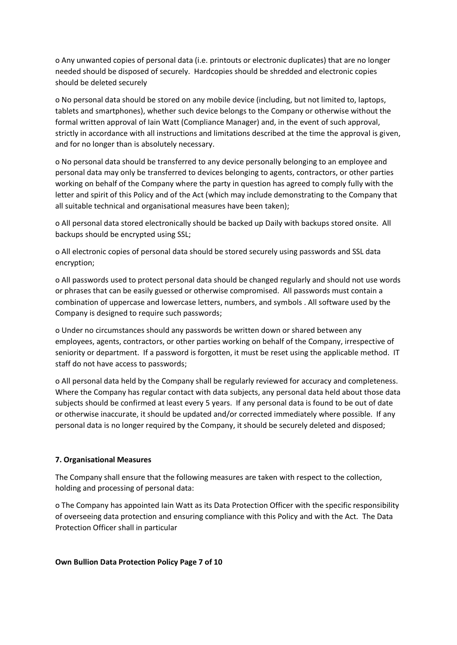o Any unwanted copies of personal data (i.e. printouts or electronic duplicates) that are no longer needed should be disposed of securely. Hardcopies should be shredded and electronic copies should be deleted securely

o No personal data should be stored on any mobile device (including, but not limited to, laptops, tablets and smartphones), whether such device belongs to the Company or otherwise without the formal written approval of Iain Watt (Compliance Manager) and, in the event of such approval, strictly in accordance with all instructions and limitations described at the time the approval is given, and for no longer than is absolutely necessary.

o No personal data should be transferred to any device personally belonging to an employee and personal data may only be transferred to devices belonging to agents, contractors, or other parties working on behalf of the Company where the party in question has agreed to comply fully with the letter and spirit of this Policy and of the Act (which may include demonstrating to the Company that all suitable technical and organisational measures have been taken);

o All personal data stored electronically should be backed up Daily with backups stored onsite. All backups should be encrypted using SSL;

o All electronic copies of personal data should be stored securely using passwords and SSL data encryption;

o All passwords used to protect personal data should be changed regularly and should not use words or phrases that can be easily guessed or otherwise compromised. All passwords must contain a combination of uppercase and lowercase letters, numbers, and symbols . All software used by the Company is designed to require such passwords;

o Under no circumstances should any passwords be written down or shared between any employees, agents, contractors, or other parties working on behalf of the Company, irrespective of seniority or department. If a password is forgotten, it must be reset using the applicable method. IT staff do not have access to passwords;

o All personal data held by the Company shall be regularly reviewed for accuracy and completeness. Where the Company has regular contact with data subjects, any personal data held about those data subjects should be confirmed at least every 5 years. If any personal data is found to be out of date or otherwise inaccurate, it should be updated and/or corrected immediately where possible. If any personal data is no longer required by the Company, it should be securely deleted and disposed;

# **7. Organisational Measures**

The Company shall ensure that the following measures are taken with respect to the collection, holding and processing of personal data:

o The Company has appointed Iain Watt as its Data Protection Officer with the specific responsibility of overseeing data protection and ensuring compliance with this Policy and with the Act. The Data Protection Officer shall in particular

## **Own Bullion Data Protection Policy Page 7 of 10**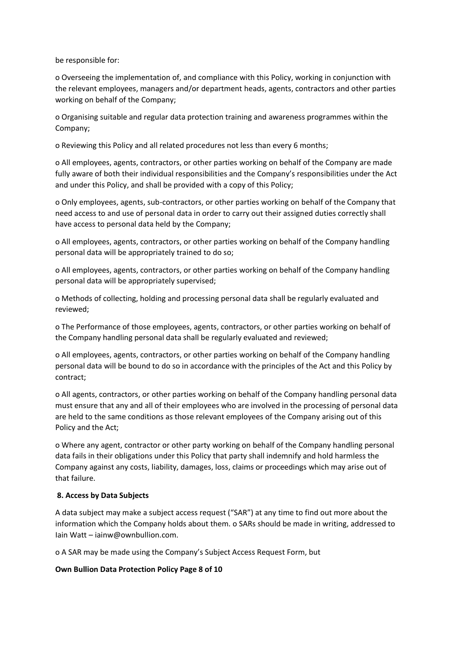be responsible for:

o Overseeing the implementation of, and compliance with this Policy, working in conjunction with the relevant employees, managers and/or department heads, agents, contractors and other parties working on behalf of the Company;

o Organising suitable and regular data protection training and awareness programmes within the Company;

o Reviewing this Policy and all related procedures not less than every 6 months;

o All employees, agents, contractors, or other parties working on behalf of the Company are made fully aware of both their individual responsibilities and the Company's responsibilities under the Act and under this Policy, and shall be provided with a copy of this Policy;

o Only employees, agents, sub-contractors, or other parties working on behalf of the Company that need access to and use of personal data in order to carry out their assigned duties correctly shall have access to personal data held by the Company;

o All employees, agents, contractors, or other parties working on behalf of the Company handling personal data will be appropriately trained to do so;

o All employees, agents, contractors, or other parties working on behalf of the Company handling personal data will be appropriately supervised;

o Methods of collecting, holding and processing personal data shall be regularly evaluated and reviewed;

o The Performance of those employees, agents, contractors, or other parties working on behalf of the Company handling personal data shall be regularly evaluated and reviewed;

o All employees, agents, contractors, or other parties working on behalf of the Company handling personal data will be bound to do so in accordance with the principles of the Act and this Policy by contract;

o All agents, contractors, or other parties working on behalf of the Company handling personal data must ensure that any and all of their employees who are involved in the processing of personal data are held to the same conditions as those relevant employees of the Company arising out of this Policy and the Act;

o Where any agent, contractor or other party working on behalf of the Company handling personal data fails in their obligations under this Policy that party shall indemnify and hold harmless the Company against any costs, liability, damages, loss, claims or proceedings which may arise out of that failure.

## **8. Access by Data Subjects**

A data subject may make a subject access request ("SAR") at any time to find out more about the information which the Company holds about them. o SARs should be made in writing, addressed to Iain Watt – iainw@ownbullion.com.

o A SAR may be made using the Company's Subject Access Request Form, but

## **Own Bullion Data Protection Policy Page 8 of 10**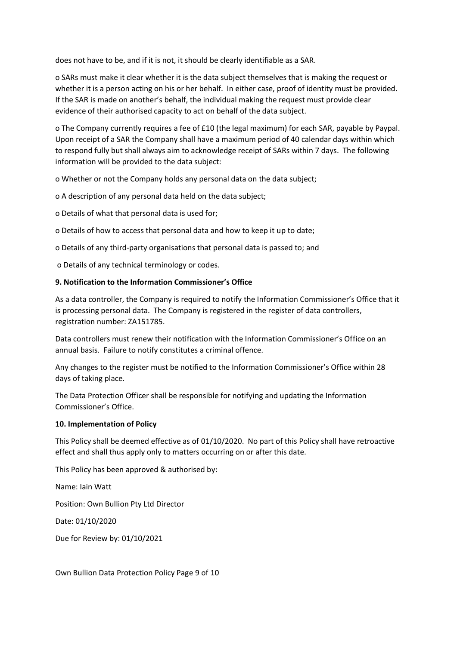does not have to be, and if it is not, it should be clearly identifiable as a SAR.

o SARs must make it clear whether it is the data subject themselves that is making the request or whether it is a person acting on his or her behalf. In either case, proof of identity must be provided. If the SAR is made on another's behalf, the individual making the request must provide clear evidence of their authorised capacity to act on behalf of the data subject.

o The Company currently requires a fee of £10 (the legal maximum) for each SAR, payable by Paypal. Upon receipt of a SAR the Company shall have a maximum period of 40 calendar days within which to respond fully but shall always aim to acknowledge receipt of SARs within 7 days. The following information will be provided to the data subject:

o Whether or not the Company holds any personal data on the data subject;

o A description of any personal data held on the data subject;

o Details of what that personal data is used for;

o Details of how to access that personal data and how to keep it up to date;

o Details of any third-party organisations that personal data is passed to; and

o Details of any technical terminology or codes.

## **9. Notification to the Information Commissioner's Office**

As a data controller, the Company is required to notify the Information Commissioner's Office that it is processing personal data. The Company is registered in the register of data controllers, registration number: ZA151785.

Data controllers must renew their notification with the Information Commissioner's Office on an annual basis. Failure to notify constitutes a criminal offence.

Any changes to the register must be notified to the Information Commissioner's Office within 28 days of taking place.

The Data Protection Officer shall be responsible for notifying and updating the Information Commissioner's Office.

## **10. Implementation of Policy**

This Policy shall be deemed effective as of 01/10/2020. No part of this Policy shall have retroactive effect and shall thus apply only to matters occurring on or after this date.

This Policy has been approved & authorised by:

Name: Iain Watt

Position: Own Bullion Pty Ltd Director

Date: 01/10/2020

Due for Review by: 01/10/2021

Own Bullion Data Protection Policy Page 9 of 10